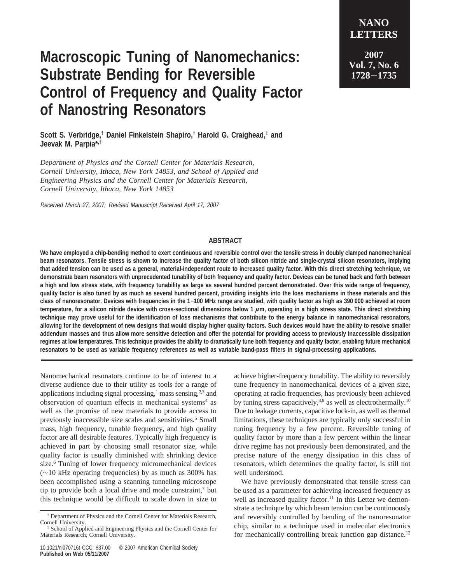**Vol. 7, No. 6 <sup>1728</sup>**-**<sup>1735</sup>**

## **Macroscopic Tuning of Nanomechanics: Substrate Bending for Reversible Control of Frequency and Quality Factor of Nanostring Resonators**

**Scott S. Verbridge,† Daniel Finkelstein Shapiro,† Harold G. Craighead,‡ and Jeevak M. Parpia\*,†**

*Department of Physics and the Cornell Center for Materials Research, Cornell Uni*V*ersity, Ithaca, New York 14853, and School of Applied and Engineering Physics and the Cornell Center for Materials Research, Cornell Uni*V*ersity, Ithaca, New York 14853*

Received March 27, 2007; Revised Manuscript Received April 17, 2007

## **ABSTRACT**

**We have employed a chip-bending method to exert continuous and reversible control over the tensile stress in doubly clamped nanomechanical beam resonators. Tensile stress is shown to increase the quality factor of both silicon nitride and single-crystal silicon resonators, implying that added tension can be used as a general, material-independent route to increased quality factor. With this direct stretching technique, we demonstrate beam resonators with unprecedented tunability of both frequency and quality factor. Devices can be tuned back and forth between a high and low stress state, with frequency tunability as large as several hundred percent demonstrated. Over this wide range of frequency, quality factor is also tuned by as much as several hundred percent, providing insights into the loss mechanisms in these materials and this class of nanoresonator. Devices with frequencies in the 1**−**100 MHz range are studied, with quality factor as high as 390 000 achieved at room temperature, for a silicon nitride device with cross-sectional dimensions below 1** *µ***m, operating in a high stress state. This direct stretching technique may prove useful for the identification of loss mechanisms that contribute to the energy balance in nanomechanical resonators, allowing for the development of new designs that would display higher quality factors. Such devices would have the ability to resolve smaller addendum masses and thus allow more sensitive detection and offer the potential for providing access to previously inaccessible dissipation regimes at low temperatures. This technique provides the ability to dramatically tune both frequency and quality factor, enabling future mechanical resonators to be used as variable frequency references as well as variable band-pass filters in signal-processing applications.**

Nanomechanical resonators continue to be of interest to a diverse audience due to their utility as tools for a range of applications including signal processing, $\frac{1}{2}$  mass sensing, $\frac{2}{3}$  and observation of quantum effects in mechanical systems<sup>4</sup> as well as the promise of new materials to provide access to previously inaccessible size scales and sensitivities.5 Small mass, high frequency, tunable frequency, and high quality factor are all desirable features. Typically high frequency is achieved in part by choosing small resonator size, while quality factor is usually diminished with shrinking device size.<sup>6</sup> Tuning of lower frequency micromechanical devices (∼10 kHz operating frequencies) by as much as 300% has been accomplished using a scanning tunneling microscope tip to provide both a local drive and mode constraint, $\alpha$  but this technique would be difficult to scale down in size to achieve higher-frequency tunability. The ability to reversibly tune frequency in nanomechanical devices of a given size, operating at radio frequencies, has previously been achieved by tuning stress capacitively,  $8.9$  as well as electrothermally.<sup>10</sup> Due to leakage currents, capacitive lock-in, as well as thermal limitations, these techniques are typically only successful in tuning frequency by a few percent. Reversible tuning of quality factor by more than a few percent within the linear drive regime has not previously been demonstrated, and the precise nature of the energy dissipation in this class of resonators, which determines the quality factor, is still not well understood.

We have previously demonstrated that tensile stress can be used as a parameter for achieving increased frequency as well as increased quality factor.<sup>11</sup> In this Letter we demonstrate a technique by which beam tension can be continuously and reversibly controlled by bending of the nanoresonator chip, similar to a technique used in molecular electronics for mechanically controlling break junction gap distance.12

<sup>†</sup> Department of Physics and the Cornell Center for Materials Research, Cornell University.

<sup>‡</sup> School of Applied and Engineering Physics and the Cornell Center for Materials Research, Cornell University.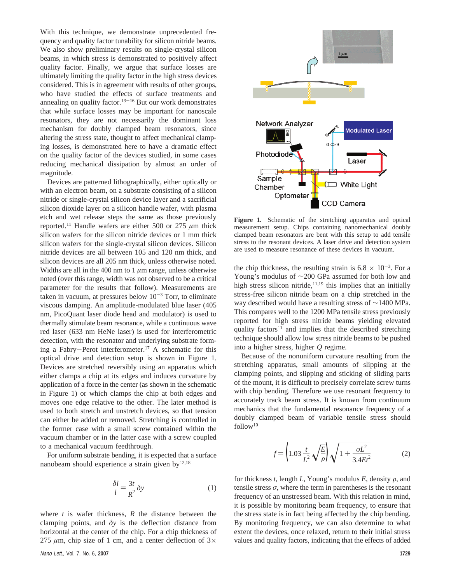With this technique, we demonstrate unprecedented frequency and quality factor tunability for silicon nitride beams. We also show preliminary results on single-crystal silicon beams, in which stress is demonstrated to positively affect quality factor. Finally, we argue that surface losses are ultimately limiting the quality factor in the high stress devices considered. This is in agreement with results of other groups, who have studied the effects of surface treatments and annealing on quality factor.<sup>13-16</sup> But our work demonstrates that while surface losses may be important for nanoscale resonators, they are not necessarily the dominant loss mechanism for doubly clamped beam resonators, since altering the stress state, thought to affect mechanical clamping losses, is demonstrated here to have a dramatic effect on the quality factor of the devices studied, in some cases reducing mechanical dissipation by almost an order of magnitude.

Devices are patterned lithographically, either optically or with an electron beam, on a substrate consisting of a silicon nitride or single-crystal silicon device layer and a sacrificial silicon dioxide layer on a silicon handle wafer, with plasma etch and wet release steps the same as those previously reported.11 Handle wafers are either 500 or 275 *µ*m thick silicon wafers for the silicon nitride devices or 1 mm thick silicon wafers for the single-crystal silicon devices. Silicon nitride devices are all between 105 and 120 nm thick, and silicon devices are all 205 nm thick, unless otherwise noted. Widths are all in the 400 nm to 1 *µ*m range, unless otherwise noted (over this range, width was not observed to be a critical parameter for the results that follow). Measurements are taken in vacuum, at pressures below  $10^{-3}$  Torr, to eliminate viscous damping. An amplitude-modulated blue laser (405 nm, PicoQuant laser diode head and modulator) is used to thermally stimulate beam resonance, while a continuous wave red laser (633 nm HeNe laser) is used for interferometric detection, with the resonator and underlying substrate forming a Fabry-Perot interferometer.<sup>17</sup> A schematic for this optical drive and detection setup is shown in Figure 1. Devices are stretched reversibly using an apparatus which either clamps a chip at its edges and induces curvature by application of a force in the center (as shown in the schematic in Figure 1) or which clamps the chip at both edges and moves one edge relative to the other. The later method is used to both stretch and unstretch devices, so that tension can either be added or removed. Stretching is controlled in the former case with a small screw contained within the vacuum chamber or in the latter case with a screw coupled to a mechanical vacuum feedthrough.

For uniform substrate bending, it is expected that a surface nanobeam should experience a strain given by $12,18$ 

$$
\frac{\partial l}{l} = \frac{3t}{R^2} \,\delta y \tag{1}
$$

where *t* is wafer thickness, *R* the distance between the clamping points, and *δy* is the deflection distance from horizontal at the center of the chip. For a chip thickness of 275  $\mu$ m, chip size of 1 cm, and a center deflection of  $3\times$ 



Figure 1. Schematic of the stretching apparatus and optical measurement setup. Chips containing nanomechanical doubly clamped beam resonators are bent with this setup to add tensile stress to the resonant devices. A laser drive and detection system are used to measure resonance of these devices in vacuum.

the chip thickness, the resulting strain is  $6.8 \times 10^{-3}$ . For a Young's modulus of ∼200 GPa assumed for both low and high stress silicon nitride, $11,19$  this implies that an initially stress-free silicon nitride beam on a chip stretched in the way described would have a resulting stress of ∼1400 MPa. This compares well to the 1200 MPa tensile stress previously reported for high stress nitride beams yielding elevated quality factors<sup>11</sup> and implies that the described stretching technique should allow low stress nitride beams to be pushed into a higher stress, higher *Q* regime.

Because of the nonuniform curvature resulting from the stretching apparatus, small amounts of slipping at the clamping points, and slipping and sticking of sliding parts of the mount, it is difficult to precisely correlate screw turns with chip bending. Therefore we use resonant frequency to accurately track beam stress. It is known from continuum mechanics that the fundamental resonance frequency of a doubly clamped beam of variable tensile stress should follow<sup>10</sup>

$$
f = \left(1.03 \frac{t}{L^2} \sqrt{\frac{E}{\rho}}\right) \sqrt{1 + \frac{\sigma L^2}{3.4 E t^2}}
$$
 (2)

for thickness  $t$ , length  $L$ , Young's modulus  $E$ , density  $\rho$ , and tensile stress  $\sigma$ , where the term in parentheses is the resonant frequency of an unstressed beam. With this relation in mind, it is possible by monitoring beam frequency, to ensure that the stress state is in fact being affected by the chip bending. By monitoring frequency, we can also determine to what extent the devices, once relaxed, return to their initial stress values and quality factors, indicating that the effects of added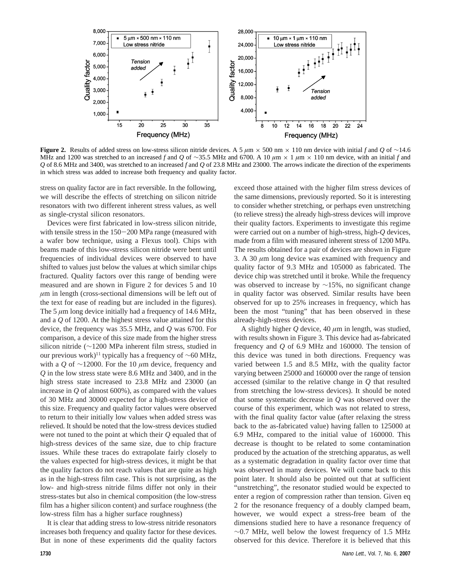

**Figure 2.** Results of added stress on low-stress silicon nitride devices. A 5 *µ*m × 500 nm × 110 nm device with initial *f* and *Q* of ∼14.6 MHz and 1200 was stretched to an increased *f* and *Q* of ∼35.5 MHz and 6700. A 10 *µ*m × 1 *µ*m × 110 nm device, with an initial *f* and *Q* of 8.6 MHz and 3400, was stretched to an increased *f* and *Q* of 23.8 MHz and 23000. The arrows indicate the direction of the experiments in which stress was added to increase both frequency and quality factor.

stress on quality factor are in fact reversible. In the following, we will describe the effects of stretching on silicon nitride resonators with two different inherent stress values, as well as single-crystal silicon resonators.

Devices were first fabricated in low-stress silicon nitride, with tensile stress in the 150-200 MPa range (measured with a wafer bow technique, using a Flexus tool). Chips with beams made of this low-stress silicon nitride were bent until frequencies of individual devices were observed to have shifted to values just below the values at which similar chips fractured. Quality factors over this range of bending were measured and are shown in Figure 2 for devices 5 and 10 *µ*m in length (cross-sectional dimensions will be left out of the text for ease of reading but are included in the figures). The 5  $\mu$ m long device initially had a frequency of 14.6 MHz, and a *Q* of 1200. At the highest stress value attained for this device, the frequency was 35.5 MHz, and *Q* was 6700. For comparison, a device of this size made from the higher stress silicon nitride (∼1200 MPa inherent film stress, studied in our previous work)<sup>11</sup> typically has a frequency of ∼60 MHz, with a *Q* of ∼12000. For the 10 *µ*m device, frequency and *Q* in the low stress state were 8.6 MHz and 3400, and in the high stress state increased to 23.8 MHz and 23000 (an increase in *Q* of almost 600%), as compared with the values of 30 MHz and 30000 expected for a high-stress device of this size. Frequency and quality factor values were observed to return to their initially low values when added stress was relieved. It should be noted that the low-stress devices studied were not tuned to the point at which their *Q* equaled that of high-stress devices of the same size, due to chip fracture issues. While these traces do extrapolate fairly closely to the values expected for high-stress devices, it might be that the quality factors do not reach values that are quite as high as in the high-stress film case. This is not surprising, as the low- and high-stress nitride films differ not only in their stress-states but also in chemical composition (the low-stress film has a higher silicon content) and surface roughness (the low-stress film has a higher surface roughness)

It is clear that adding stress to low-stress nitride resonators increases both frequency and quality factor for these devices. But in none of these experiments did the quality factors exceed those attained with the higher film stress devices of the same dimensions, previously reported. So it is interesting to consider whether stretching, or perhaps even unstretching (to relieve stress) the already high-stress devices will improve their quality factors. Experiments to investigate this regime were carried out on a number of high-stress, high-*Q* devices, made from a film with measured inherent stress of 1200 MPa. The results obtained for a pair of devices are shown in Figure 3. A 30  $\mu$ m long device was examined with frequency and quality factor of 9.3 MHz and 105000 as fabricated. The device chip was stretched until it broke. While the frequency was observed to increase by ∼15%, no significant change in quality factor was observed. Similar results have been observed for up to 25% increases in frequency, which has been the most "tuning" that has been observed in these already-high-stress devices.

A slightly higher *Q* device, 40 *µ*m in length, was studied, with results shown in Figure 3. This device had as-fabricated frequency and *Q* of 6.9 MHz and 160000. The tension of this device was tuned in both directions. Frequency was varied between 1.5 and 8.5 MHz, with the quality factor varying between 25000 and 160000 over the range of tension accessed (similar to the relative change in *Q* that resulted from stretching the low-stress devices). It should be noted that some systematic decrease in *Q* was observed over the course of this experiment, which was not related to stress, with the final quality factor value (after relaxing the stress back to the as-fabricated value) having fallen to 125000 at 6.9 MHz, compared to the initial value of 160000. This decrease is thought to be related to some contamination produced by the actuation of the stretching apparatus, as well as a systematic degradation in quality factor over time that was observed in many devices. We will come back to this point later. It should also be pointed out that at sufficient "unstretching", the resonator studied would be expected to enter a region of compression rather than tension. Given eq 2 for the resonance frequency of a doubly clamped beam, however, we would expect a stress-free beam of the dimensions studied here to have a resonance frequency of  $\sim$ 0.7 MHz, well below the lowest frequency of 1.5 MHz observed for this device. Therefore it is believed that this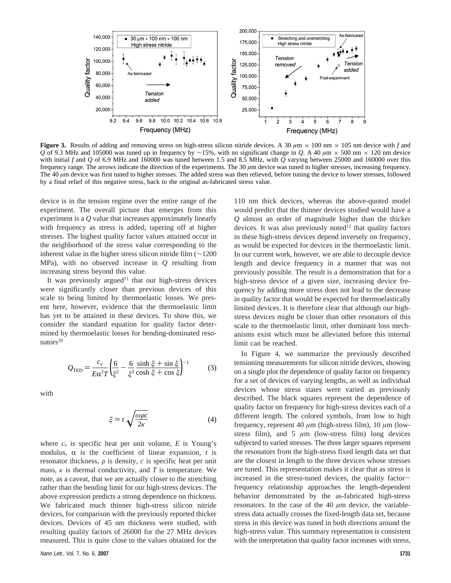

**Figure 3.** Results of adding and removing stress on high-stress silicon nitride devices. A 30  $\mu$ m  $\times$  100 nm  $\times$  105 nm device with *f* and *Q* of 9.3 MHz and 105000 was tuned up in frequency by ∼15%, with no significant change in *Q*. A 40 *µ*m × 500 nm × 120 nm device with initial *f* and *Q* of 6.9 MHz and 160000 was tuned between 1.5 and 8.5 MHz, with *Q* varying between 25000 and 160000 over this frequency range. The arrows indicate the direction of the experiments. The 30 *µ*m device was tuned to higher stresses, increasing frequency. The 40  $\mu$ m device was first tuned to higher stresses. The added stress was then relieved, before tuning the device to lower stresses, followed by a final relief of this negative stress, back to the original as-fabricated stress value.

device is in the tension regime over the entire range of the experiment. The overall picture that emerges from this experiment is a *Q* value that increases approximately linearly with frequency as stress is added, tapering off at higher stresses. The highest quality factor values attained occur in the neighborhood of the stress value corresponding to the inherent value in the higher stress silicon nitride film (∼1200 MPa), with no observed increase in *Q* resulting from increasing stress beyond this value.

It was previously argued<sup>11</sup> that our high-stress devices were significantly closer than previous devices of this scale to being limited by thermoelastic losses. We present here, however, evidence that the thermoelastic limit has yet to be attained in these devices. To show this, we consider the standard equation for quality factor determined by thermoelastic losses for bending-dominated resonators $20$ 

$$
Q_{\text{TED}} = \frac{c_v}{E\alpha^2 T} \left(\frac{6}{\xi^2} - \frac{6}{\xi^3} \frac{\sinh \xi + \sin \xi}{\cosh \xi + \cos \xi}\right)^{-1}
$$
(3)

with

$$
\xi = t \sqrt{\frac{\omega \rho c}{2\kappa}} \tag{4}
$$

where  $c_v$  is specific heat per unit volume,  $E$  is Young's modulus,  $\alpha$  is the coefficient of linear expansion, *t* is resonator thickness,  $\rho$  is density,  $c$  is specific heat per unit mass,  $\kappa$  is thermal conductivity, and  $T$  is temperature. We note, as a caveat, that we are actually closer to the stretching rather than the bending limit for our high-stress devices. The above expression predicts a strong dependence on thickness. We fabricated much thinner high-stress silicon nitride devices, for comparison with the previously reported thicker devices. Devices of 45 nm thickness were studied, with resulting quality factors of 26000 for the 27 MHz devices measured. This is quite close to the values obtained for the

110 nm thick devices, whereas the above-quoted model would predict that the thinner devices studied would have a *Q* almost an order of magnitude higher than the thicker devices. It was also previously noted<sup>11</sup> that quality factors in these high-stress devices depend inversely on frequency, as would be expected for devices in the thermoelastic limit. In our current work, however, we are able to decouple device length and device frequency in a manner that was not previously possible. The result is a demonstration that for a high-stress device of a given size, increasing device frequency by adding more stress does not lead to the decrease in quality factor that would be expected for thermoelastically limited devices. It is therefore clear that although our highstress devices might be closer than other resonators of this scale to the thermoelastic limit, other dominant loss mechanisms exist which must be alleviated before this internal limit can be reached.

In Figure 4, we summarize the previously described tensioning measurements for silicon nitride devices, showing on a single plot the dependence of quality factor on frequency for a set of devices of varying lengths, as well as individual devices whose stress states were varied as previously described. The black squares represent the dependence of quality factor on frequency for high-stress devices each of a different length. The colored symbols, from low to high frequency, represent 40 *µ*m (high-stress film), 10 *µ*m (lowstress film), and  $5 \mu m$  (low-stress film) long devices subjected to varied stresses. The three larger squares represent the resonators from the high-stress fixed length data set that are the closest in length to the three devices whose stresses are tuned. This representation makes it clear that as stress is increased in the stress-tuned devices, the quality factorfrequency relationship approaches the length-dependent behavior demonstrated by the as-fabricated high-stress resonators. In the case of the 40  $\mu$ m device, the variablestress data actually crosses the fixed-length data set, because stress in this device was tuned in both directions around the high-stress value. This summary representation is consistent with the interpretation that quality factor increases with stress,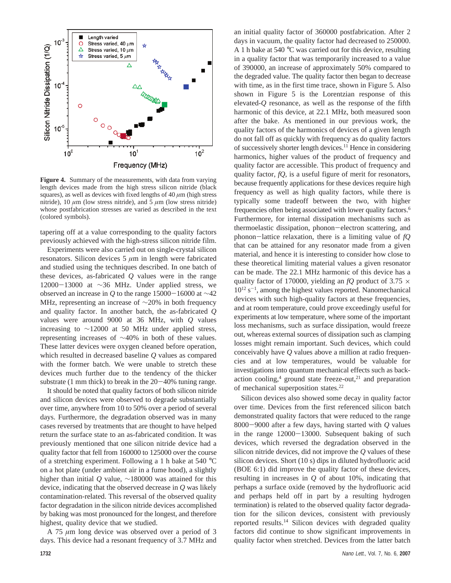

**Figure 4.** Summary of the measurements, with data from varying length devices made from the high stress silicon nitride (black squares), as well as devices with fixed lengths of 40 *µ*m (high stress nitride), 10  $\mu$ m (low stress nitride), and 5  $\mu$ m (low stress nitride) whose postfabrication stresses are varied as described in the text (colored symbols).

tapering off at a value corresponding to the quality factors previously achieved with the high-stress silicon nitride film.

Experiments were also carried out on single-crystal silicon resonators. Silicon devices  $5 \mu m$  in length were fabricated and studied using the techniques described. In one batch of these devices, as-fabricated *Q* values were in the range <sup>12000</sup>-13000 at <sup>∼</sup>36 MHz. Under applied stress, we observed an increase in *<sup>Q</sup>* to the range 15000-16000 at <sup>∼</sup><sup>42</sup> MHz, representing an increase of ∼20% in both frequency and quality factor. In another batch, the as-fabricated *Q* values were around 9000 at 36 MHz, with *Q* values increasing to ∼12000 at 50 MHz under applied stress, representing increases of ∼40% in both of these values. These latter devices were oxygen cleaned before operation, which resulted in decreased baseline *Q* values as compared with the former batch. We were unable to stretch these devices much further due to the tendency of the thicker substrate  $(1 \text{ mm thick})$  to break in the  $20-40\%$  tuning range.

It should be noted that quality factors of both silicon nitride and silicon devices were observed to degrade substantially over time, anywhere from 10 to 50% over a period of several days. Furthermore, the degradation observed was in many cases reversed by treatments that are thought to have helped return the surface state to an as-fabricated condition. It was previously mentioned that one silicon nitride device had a quality factor that fell from 160000 to 125000 over the course of a stretching experiment. Following a 1 h bake at 540 °C on a hot plate (under ambient air in a fume hood), a slightly higher than initial *Q* value, ∼180000 was attained for this device, indicating that the observed decrease in *Q* was likely contamination-related. This reversal of the observed quality factor degradation in the silicon nitride devices accomplished by baking was most pronounced for the longest, and therefore highest, quality device that we studied.

A 75 *µ*m long device was observed over a period of 3 days. This device had a resonant frequency of 3.7 MHz and an initial quality factor of 360000 postfabrication. After 2 days in vacuum, the quality factor had decreased to 250000. A 1 h bake at 540 °C was carried out for this device, resulting in a quality factor that was temporarily increased to a value of 390000, an increase of approximately 50% compared to the degraded value. The quality factor then began to decrease with time, as in the first time trace, shown in Figure 5. Also shown in Figure 5 is the Lorentzian response of this elevated-*Q* resonance, as well as the response of the fifth harmonic of this device, at 22.1 MHz, both measured soon after the bake. As mentioned in our previous work, the quality factors of the harmonics of devices of a given length do not fall off as quickly with frequency as do quality factors of successively shorter length devices.<sup>11</sup> Hence in considering harmonics, higher values of the product of frequency and quality factor are accessible. This product of frequency and quality factor, *fQ*, is a useful figure of merit for resonators, because frequently applications for these devices require high frequency as well as high quality factors, while there is typically some tradeoff between the two, with higher frequencies often being associated with lower quality factors.<sup>6</sup> Furthermore, for internal dissipation mechanisms such as thermoelastic dissipation, phonon-electron scattering, and phonon-lattice relaxation, there is a limiting value of *fQ* that can be attained for any resonator made from a given material, and hence it is interesting to consider how close to these theoretical limiting material values a given resonator can be made. The 22.1 MHz harmonic of this device has a quality factor of 170000, yielding an  $fQ$  product of 3.75  $\times$ 10<sup>12</sup> s<sup>-1</sup>, among the highest values reported. Nanomechanical devices with such high-quality factors at these frequencies, and at room temperature, could prove exceedingly useful for experiments at low temperature, where some of the important loss mechanisms, such as surface dissipation, would freeze out, whereas external sources of dissipation such as clamping losses might remain important. Such devices, which could conceivably have *Q* values above a million at radio frequencies and at low temperatures, would be valuable for investigations into quantum mechanical effects such as backaction cooling,<sup>4</sup> ground state freeze-out,<sup>21</sup> and preparation of mechanical superposition states.22

Silicon devices also showed some decay in quality factor over time. Devices from the first referenced silicon batch demonstrated quality factors that were reduced to the range <sup>8000</sup>-9000 after a few days, having started with *<sup>Q</sup>* values in the range 12000-13000. Subsequent baking of such devices, which reversed the degradation observed in the silicon nitride devices, did not improve the *Q* values of these silicon devices. Short (10 s) dips in diluted hydrofluoric acid (BOE 6:1) did improve the quality factor of these devices, resulting in increases in *Q* of about 10%, indicating that perhaps a surface oxide (removed by the hydrofluoric acid and perhaps held off in part by a resulting hydrogen termination) is related to the observed quality factor degradation for the silicon devices, consistent with previously reported results.14 Silicon devices with degraded quality factors did continue to show significant improvements in quality factor when stretched. Devices from the latter batch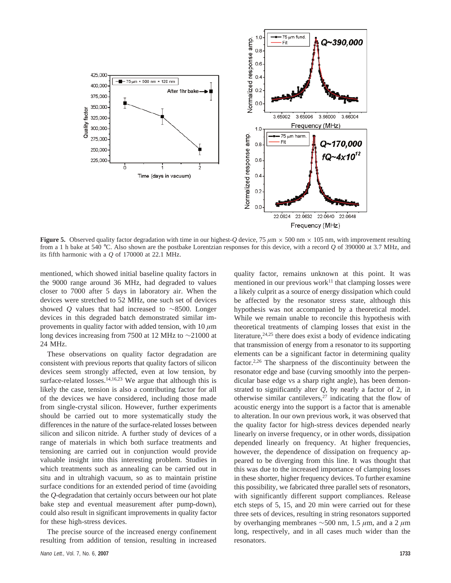

**Figure 5.** Observed quality factor degradation with time in our highest-*Q* device,  $75 \mu m \times 500 nm \times 105 nm$ , with improvement resulting from a 1 h bake at 540 °C. Also shown are the postbake Lorentzian responses for this device, with a record *Q* of 390000 at 3.7 MHz, and its fifth harmonic with a *Q* of 170000 at 22.1 MHz.

mentioned, which showed initial baseline quality factors in the 9000 range around 36 MHz, had degraded to values closer to 7000 after 5 days in laboratory air. When the devices were stretched to 52 MHz, one such set of devices showed *Q* values that had increased to ∼8500. Longer devices in this degraded batch demonstrated similar improvements in quality factor with added tension, with  $10 \mu m$ long devices increasing from 7500 at 12 MHz to ∼21000 at 24 MHz.

These observations on quality factor degradation are consistent with previous reports that quality factors of silicon devices seem strongly affected, even at low tension, by surface-related losses. $14,16,23$  We argue that although this is likely the case, tension is also a contributing factor for all of the devices we have considered, including those made from single-crystal silicon. However, further experiments should be carried out to more systematically study the differences in the nature of the surface-related losses between silicon and silicon nitride. A further study of devices of a range of materials in which both surface treatments and tensioning are carried out in conjunction would provide valuable insight into this interesting problem. Studies in which treatments such as annealing can be carried out in situ and in ultrahigh vacuum, so as to maintain pristine surface conditions for an extended period of time (avoiding the *Q*-degradation that certainly occurs between our hot plate bake step and eventual measurement after pump-down), could also result in significant improvements in quality factor for these high-stress devices.

The precise source of the increased energy confinement resulting from addition of tension, resulting in increased

quality factor, remains unknown at this point. It was mentioned in our previous work<sup>11</sup> that clamping losses were a likely culprit as a source of energy dissipation which could be affected by the resonator stress state, although this hypothesis was not accompanied by a theoretical model. While we remain unable to reconcile this hypothesis with theoretical treatments of clamping losses that exist in the literature,  $24.25$  there does exist a body of evidence indicating that transmission of energy from a resonator to its supporting elements can be a significant factor in determining quality factor.2,26 The sharpness of the discontinuity between the resonator edge and base (curving smoothly into the perpendicular base edge vs a sharp right angle), has been demonstrated to significantly alter *Q*, by nearly a factor of 2, in otherwise similar cantilevers, $27$  indicating that the flow of acoustic energy into the support is a factor that is amenable to alteration. In our own previous work, it was observed that the quality factor for high-stress devices depended nearly linearly on inverse frequency, or in other words, dissipation depended linearly on frequency. At higher frequencies, however, the dependence of dissipation on frequency appeared to be diverging from this line. It was thought that this was due to the increased importance of clamping losses in these shorter, higher frequency devices. To further examine this possibility, we fabricated three parallel sets of resonators, with significantly different support compliances. Release etch steps of 5, 15, and 20 min were carried out for these three sets of devices, resulting in string resonators supported by overhanging membranes ∼500 nm, 1.5 *µ*m, and a 2 *µ*m long, respectively, and in all cases much wider than the resonators.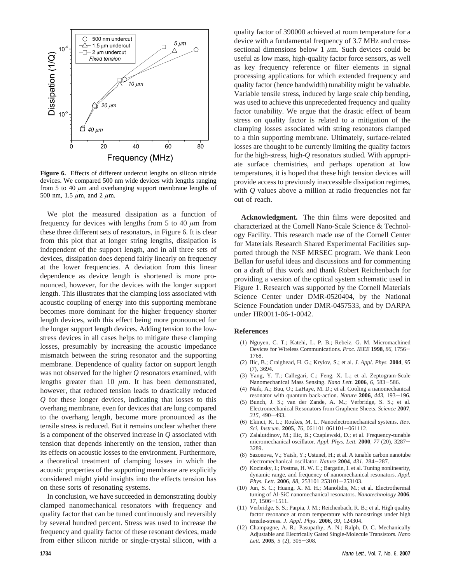

Figure 6. Effects of different undercut lengths on silicon nitride devices. We compared 500 nm wide devices with lengths ranging from 5 to 40  $\mu$ m and overhanging support membrane lengths of 500 nm,  $1.5 \mu m$ , and  $2 \mu m$ .

We plot the measured dissipation as a function of frequency for devices with lengths from 5 to 40 *µ*m from these three different sets of resonators, in Figure 6. It is clear from this plot that at longer string lengths, dissipation is independent of the support length, and in all three sets of devices, dissipation does depend fairly linearly on frequency at the lower frequencies. A deviation from this linear dependence as device length is shortened is more pronounced, however, for the devices with the longer support length. This illustrates that the clamping loss associated with acoustic coupling of energy into this supporting membrane becomes more dominant for the higher frequency shorter length devices, with this effect being more pronounced for the longer support length devices. Adding tension to the lowstress devices in all cases helps to mitigate these clamping losses, presumably by increasing the acoustic impedance mismatch between the string resonator and the supporting membrane. Dependence of quality factor on support length was not observed for the higher *Q* resonators examined, with lengths greater than 10  $\mu$ m. It has been demonstrated, however, that reduced tension leads to drastically reduced *Q* for these longer devices, indicating that losses to this overhang membrane, even for devices that are long compared to the overhang length, become more pronounced as the tensile stress is reduced. But it remains unclear whether there is a component of the observed increase in *Q* associated with tension that depends inherently on the tension, rather than its effects on acoustic losses to the environment. Furthermore, a theoretical treatment of clamping losses in which the acoustic properties of the supporting membrane are explicitly considered might yield insights into the effects tension has on these sorts of resonating systems.

In conclusion, we have succeeded in demonstrating doubly clamped nanomechanical resonators with frequency and quality factor that can be tuned continuously and reversibly by several hundred percent. Stress was used to increase the frequency and quality factor of these resonant devices, made from either silicon nitride or single-crystal silicon, with a

quality factor of 390000 achieved at room temperature for a device with a fundamental frequency of 3.7 MHz and crosssectional dimensions below 1  $\mu$ m. Such devices could be useful as low mass, high-quality factor force sensors, as well as key frequency reference or filter elements in signal processing applications for which extended frequency and quality factor (hence bandwidth) tunability might be valuable. Variable tensile stress, induced by large scale chip bending, was used to achieve this unprecedented frequency and quality factor tunability. We argue that the drastic effect of beam stress on quality factor is related to a mitigation of the clamping losses associated with string resonators clamped to a thin supporting membrane. Ultimately, surface-related losses are thought to be currently limiting the quality factors for the high-stress, high-*Q* resonators studied. With appropriate surface chemistries, and perhaps operation at low temperatures, it is hoped that these high tension devices will provide access to previously inaccessible dissipation regimes, with *Q* values above a million at radio frequencies not far out of reach.

**Acknowledgment.** The thin films were deposited and characterized at the Cornell Nano-Scale Science & Technology Facility. This research made use of the Cornell Center for Materials Research Shared Experimental Facilities supported through the NSF MRSEC program. We thank Leon Bellan for useful ideas and discussions and for commenting on a draft of this work and thank Robert Reichenbach for providing a version of the optical system schematic used in Figure 1. Research was supported by the Cornell Materials Science Center under DMR-0520404, by the National Science Foundation under DMR-0457533, and by DARPA under HR0011-06-1-0042.

## **References**

- (1) Nguyen, C. T.; Katehi, L. P. B.; Rebeiz, G. M. Micromachined Devices for Wireless Communications. *Proc. IEEE* **<sup>1998</sup>**, *<sup>86</sup>*, 1756- 1768.
- (2) Ilic, B.; Craighead, H. G.; Krylov, S.; et al. *J. Appl. Phys.* **2004**, *95* (7), 3694.
- (3) Yang, Y. T.; Callegari, C.; Feng, X. L.; et al. Zeptogram-Scale Nanomechanical Mass Sensing. *Nano Lett.* **<sup>2006</sup>**, *<sup>6</sup>*, 583-586.
- (4) Naik, A.; Buu, O.; LaHaye, M. D.; et al. Cooling a nanomechanical resonator with quantum back-action. *Nature* **<sup>2006</sup>**, *<sup>443</sup>*, 193-196.
- (5) Bunch, J. S.; van der Zande, A. M.; Verbridge, S. S.; et al. Electromechanical Resonators from Graphene Sheets. *Science* **2007**, *<sup>315</sup>*, 490-493.
- (6) Ekinci, K. L.; Roukes, M. L. Nanoelectromechanical systems. *Re*V*. Sci. Instrum.* **<sup>2005</sup>**, *<sup>76</sup>*, 061101 061101-061112.
- (7) Zalalutdinov, M.; Ilic, B.; Czaplewski, D.; et al. Frequency-tunable micromechanical oscillator. *Appl. Phys. Lett.* **<sup>2000</sup>**, *<sup>77</sup>* (20), 3287- 3289.
- (8) Sazonova, V.; Yaish, Y.; Ustunel, H.; et al. A tunable carbon nanotube electromechanical oscillator. *Nature* **<sup>2004</sup>**, *<sup>431</sup>*, 284-287.
- (9) Kozinsky, I.; Postma, H. W. C.; Bargatin, I. et al. Tuning nonlinearity, dynamic range, and frequency of nanomechanical resonators. *Appl. Phys. Lett.* **<sup>2006</sup>**, *<sup>88</sup>*, 253101 253101-253103.
- (10) Jun, S. C.; Huang, X. M. H.; Manolidis, M.; et al. Electrothermal tuning of Al-SiC nanomechanical resonators. *Nanotechnology* **2006**, *<sup>17</sup>*, 1506-1511.
- (11) Verbridge, S. S.; Parpia, J. M.; Reichenbach, R. B.; et al. High quality factor resonance at room temperature with nanostrings under high tensile-stress. *J. Appl. Phys.* **2006**, *99*, 124304.
- (12) Champagne, A. R.; Pasupathy, A. N.; Ralph, D. C. Mechanically Adjustable and Electrically Gated Single-Molecule Transistors. *Nano Lett.* **<sup>2005</sup>**, *<sup>5</sup>* (2), 305-308.